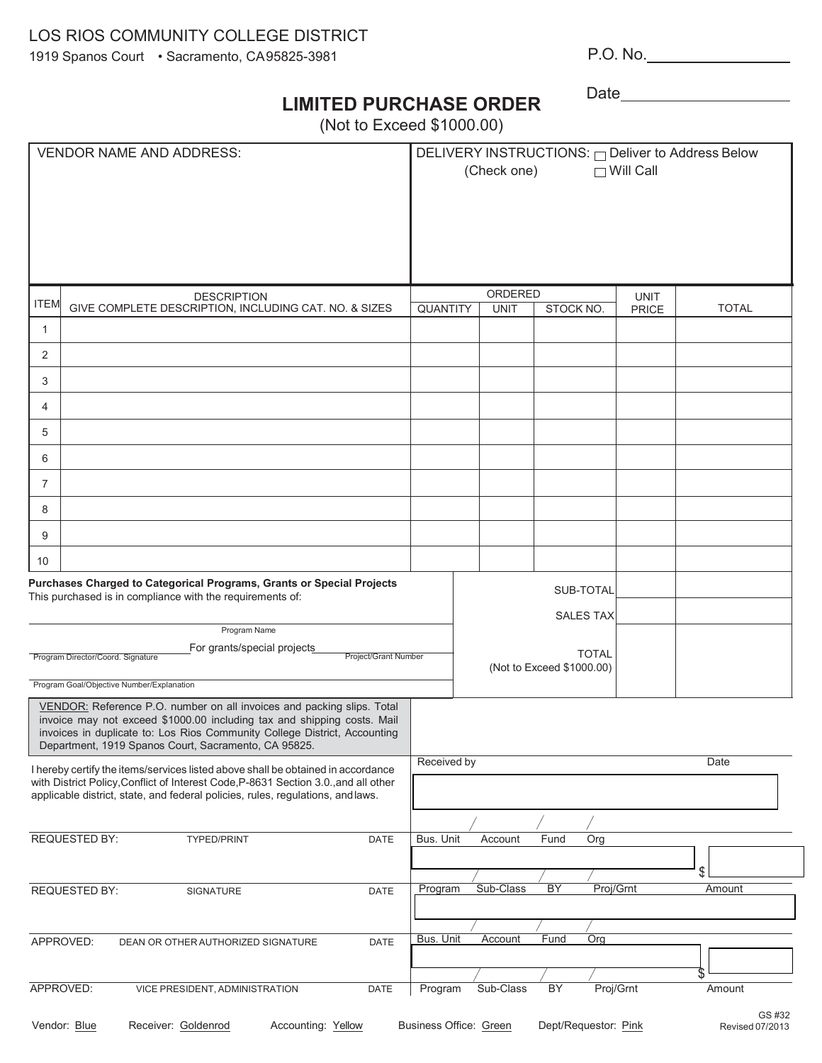## LOS RIOS COMMUNITY COLLEGE DISTRICT

1919 Spanos Court • Sacramento, CA95825-3981

P.O. No.

Date

## **LIMITED PURCHASE ORDER**

(Not to Exceed \$1000.00)

| <b>VENDOR NAME AND ADDRESS:</b>                                                                                                                                                                                                                                                        |           | DELIVERY INSTRUCTIONS: ODeliver to Address Below<br>(Check one)<br>$\Box$ Will Call |                                                                            |              |              |
|----------------------------------------------------------------------------------------------------------------------------------------------------------------------------------------------------------------------------------------------------------------------------------------|-----------|-------------------------------------------------------------------------------------|----------------------------------------------------------------------------|--------------|--------------|
| <b>DESCRIPTION</b>                                                                                                                                                                                                                                                                     |           | ORDERED                                                                             |                                                                            | <b>UNIT</b>  |              |
| <b>ITEM</b><br>GIVE COMPLETE DESCRIPTION, INCLUDING CAT. NO. & SIZES                                                                                                                                                                                                                   | QUANTITY  | <b>UNIT</b>                                                                         | STOCK NO.                                                                  | <b>PRICE</b> | <b>TOTAL</b> |
| $\mathbf{1}$                                                                                                                                                                                                                                                                           |           |                                                                                     |                                                                            |              |              |
| 2                                                                                                                                                                                                                                                                                      |           |                                                                                     |                                                                            |              |              |
| 3                                                                                                                                                                                                                                                                                      |           |                                                                                     |                                                                            |              |              |
| 4                                                                                                                                                                                                                                                                                      |           |                                                                                     |                                                                            |              |              |
| 5                                                                                                                                                                                                                                                                                      |           |                                                                                     |                                                                            |              |              |
| 6                                                                                                                                                                                                                                                                                      |           |                                                                                     |                                                                            |              |              |
| $\overline{7}$                                                                                                                                                                                                                                                                         |           |                                                                                     |                                                                            |              |              |
| 8                                                                                                                                                                                                                                                                                      |           |                                                                                     |                                                                            |              |              |
| 9                                                                                                                                                                                                                                                                                      |           |                                                                                     |                                                                            |              |              |
| 10                                                                                                                                                                                                                                                                                     |           |                                                                                     |                                                                            |              |              |
| Purchases Charged to Categorical Programs, Grants or Special Projects<br>This purchased is in compliance with the requirements of:<br>Program Name<br>For grants/special projects<br>Project/Grant Number<br>Program Director/Coord. Signature                                         |           |                                                                                     | SUB-TOTAL<br><b>SALES TAX</b><br><b>TOTAL</b><br>(Not to Exceed \$1000.00) |              |              |
| Program Goal/Objective Number/Explanation                                                                                                                                                                                                                                              |           |                                                                                     |                                                                            |              |              |
| VENDOR: Reference P.O. number on all invoices and packing slips. Total<br>invoice may not exceed \$1000.00 including tax and shipping costs. Mail<br>invoices in duplicate to: Los Rios Community College District, Accounting<br>Department, 1919 Spanos Court, Sacramento, CA 95825. |           |                                                                                     |                                                                            |              |              |
| I hereby certify the items/services listed above shall be obtained in accordance<br>with District Policy, Conflict of Interest Code, P-8631 Section 3.0., and all other<br>applicable district, state, and federal policies, rules, regulations, and laws.                             |           | Received by<br>Date                                                                 |                                                                            |              |              |
|                                                                                                                                                                                                                                                                                        |           |                                                                                     |                                                                            |              |              |
| <b>REQUESTED BY:</b><br>DATE<br>TYPED/PRINT                                                                                                                                                                                                                                            | Bus. Unit | Account                                                                             | Fund<br>Org                                                                |              | \$           |
| <b>REQUESTED BY:</b><br>SIGNATURE<br><b>DATE</b>                                                                                                                                                                                                                                       | Program   | Sub-Class                                                                           | <b>BY</b>                                                                  | Proj/Grnt    | Amount       |
| APPROVED:<br>DATE<br>DEAN OR OTHER AUTHORIZED SIGNATURE                                                                                                                                                                                                                                | Bus. Unit | Account                                                                             | Fund<br>Org                                                                |              |              |
| APPROVED:<br>VICE PRESIDENT, ADMINISTRATION<br>DATE                                                                                                                                                                                                                                    | Program   | Sub-Class                                                                           | <b>BY</b>                                                                  | Proj/Grnt    | Amount       |
| GS #32<br>Receiver: Goldenrod<br>Business Office: Green<br>Vendor: Blue<br>Accounting: Yellow<br>Dept/Requestor: Pink<br>Revised 07/2013                                                                                                                                               |           |                                                                                     |                                                                            |              |              |